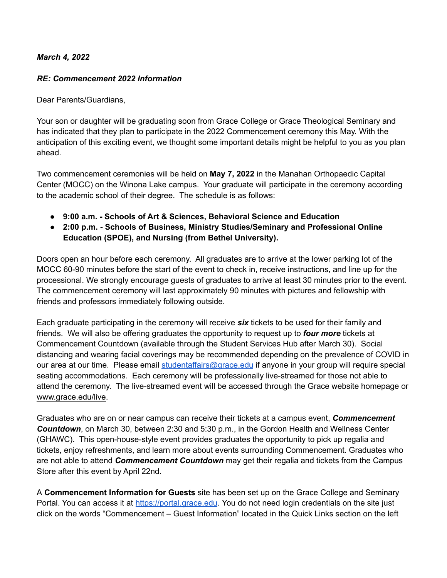## *March 4, 2022*

## *RE: Commencement 2022 Information*

Dear Parents/Guardians,

Your son or daughter will be graduating soon from Grace College or Grace Theological Seminary and has indicated that they plan to participate in the 2022 Commencement ceremony this May. With the anticipation of this exciting event, we thought some important details might be helpful to you as you plan ahead.

Two commencement ceremonies will be held on **May 7, 2022** in the Manahan Orthopaedic Capital Center (MOCC) on the Winona Lake campus. Your graduate will participate in the ceremony according to the academic school of their degree. The schedule is as follows:

- **● 9:00 a.m. - Schools of Art & Sciences, Behavioral Science and Education**
- **● 2:00 p.m. - Schools of Business, Ministry Studies/Seminary and Professional Online Education (SPOE), and Nursing (from Bethel University).**

Doors open an hour before each ceremony. All graduates are to arrive at the lower parking lot of the MOCC 60-90 minutes before the start of the event to check in, receive instructions, and line up for the processional. We strongly encourage guests of graduates to arrive at least 30 minutes prior to the event. The commencement ceremony will last approximately 90 minutes with pictures and fellowship with friends and professors immediately following outside.

Each graduate participating in the ceremony will receive *six* tickets to be used for their family and friends. We will also be offering graduates the opportunity to request up to *four more* tickets at Commencement Countdown (available through the Student Services Hub after March 30). Social distancing and wearing facial coverings may be recommended depending on the prevalence of COVID in our area at our time. Please email [studentaffairs@grace.edu](mailto:studentaffairs@grace.edu) if anyone in your group will require special seating accommodations. Each ceremony will be professionally live-streamed for those not able to attend the ceremony. The live-streamed event will be accessed through the Grace website homepage or [www.grace.edu/live](http://www.grace.edu/live).

Graduates who are on or near campus can receive their tickets at a campus event, *Commencement Countdown*, on March 30, between 2:30 and 5:30 p.m., in the Gordon Health and Wellness Center (GHAWC). This open-house-style event provides graduates the opportunity to pick up regalia and tickets, enjoy refreshments, and learn more about events surrounding Commencement. Graduates who are not able to attend *Commencement Countdown* may get their regalia and tickets from the Campus Store after this event by April 22nd.

A **Commencement Information for Guests** site has been set up on the Grace College and Seminary Portal. You can access it at <https://portal.grace.edu>. You do not need login credentials on the site just click on the words "Commencement – Guest Information" located in the Quick Links section on the left